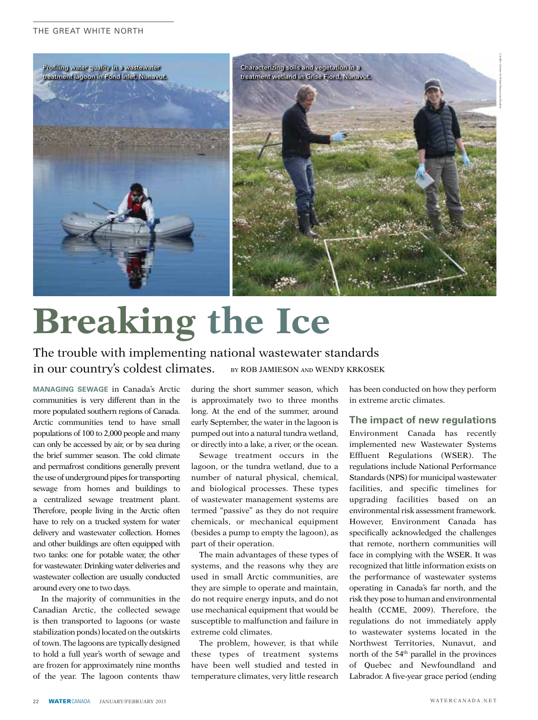

## **Breaking the Ice**

## The trouble with implementing national wastewater standards in our country's coldest climates. BY ROB JAMIESON AND WENDY KRKOSEK

MANAGING SEWAGE in Canada's Arctic communities is very different than in the more populated southern regions of Canada. Arctic communities tend to have small populations of 100 to 2,000 people and many can only be accessed by air, or by sea during the brief summer season. The cold climate and permafrost conditions generally prevent the use of underground pipes for transporting sewage from homes and buildings to a centralized sewage treatment plant. Therefore, people living in the Arctic often have to rely on a trucked system for water delivery and wastewater collection. Homes and other buildings are often equipped with two tanks: one for potable water, the other for wastewater. Drinking water deliveries and wastewater collection are usually conducted around every one to two days.

In the majority of communities in the Canadian Arctic, the collected sewage is then transported to lagoons (or waste stabilization ponds) located on the outskirts of town. The lagoons are typically designed to hold a full year's worth of sewage and are frozen for approximately nine months of the year. The lagoon contents thaw

during the short summer season, which is approximately two to three months long. At the end of the summer, around early September, the water in the lagoon is pumped out into a natural tundra wetland, or directly into a lake, a river, or the ocean.

Sewage treatment occurs in the lagoon, or the tundra wetland, due to a number of natural physical, chemical, and biological processes. These types of wastewater management systems are termed "passive" as they do not require chemicals, or mechanical equipment (besides a pump to empty the lagoon), as part of their operation.

The main advantages of these types of systems, and the reasons why they are used in small Arctic communities, are they are simple to operate and maintain, do not require energy inputs, and do not use mechanical equipment that would be susceptible to malfunction and failure in extreme cold climates.

The problem, however, is that while these types of treatment systems have been well studied and tested in temperature climates, very little research has been conducted on how they perform in extreme arctic climates.

## The impact of new regulations

Environment Canada has recently implemented new Wastewater Systems Effluent Regulations (WSER). The regulations include National Performance Standards (NPS) for municipal wastewater facilities, and specific timelines for upgrading facilities based on an environmental risk assessment framework. However. Environment Canada has specifically acknowledged the challenges that remote, northern communities will face in complying with the WSER. It was recognized that little information exists on the performance of wastewater systems operating in Canada's far north, and the risk they pose to human and environmental health (CCME, 2009). Therefore, the regulations do not immediately apply to wastewater systems located in the Northwest Territories, Nunavut, and north of the 54<sup>th</sup> parallel in the provinces of Quebec and Newfoundland and Labrador. A five-year grace period (ending